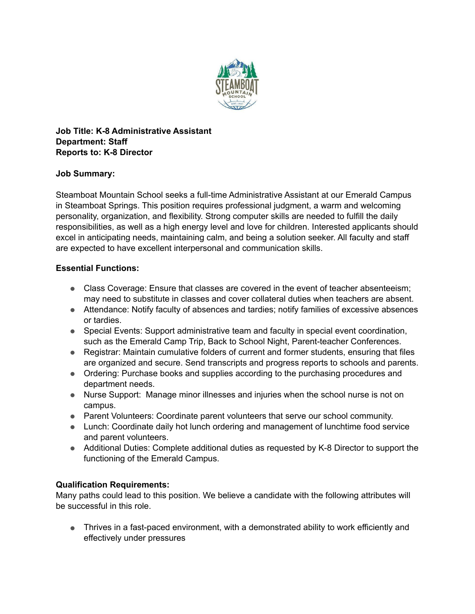

**Job Title: K-8 Administrative Assistant Department: Staff Reports to: K-8 Director** 

## **Job Summary:**

Steamboat Mountain School seeks a full-time Administrative Assistant at our Emerald Campus in Steamboat Springs. This position requires professional judgment, a warm and welcoming personality, organization, and flexibility. Strong computer skills are needed to fulfill the daily responsibilities, as well as a high energy level and love for children. Interested applicants should excel in anticipating needs, maintaining calm, and being a solution seeker. All faculty and staff are expected to have excellent interpersonal and communication skills.

## **Essential Functions:**

- Class Coverage: Ensure that classes are covered in the event of teacher absenteeism; may need to substitute in classes and cover collateral duties when teachers are absent.
- Attendance: Notify faculty of absences and tardies; notify families of excessive absences or tardies.
- Special Events: Support administrative team and faculty in special event coordination, such as the Emerald Camp Trip, Back to School Night, Parent-teacher Conferences.
- Registrar: Maintain cumulative folders of current and former students, ensuring that files are organized and secure. Send transcripts and progress reports to schools and parents.
- Ordering: Purchase books and supplies according to the purchasing procedures and department needs.
- Nurse Support: Manage minor illnesses and injuries when the school nurse is not on campus.
- Parent Volunteers: Coordinate parent volunteers that serve our school community.
- Lunch: Coordinate daily hot lunch ordering and management of lunchtime food service and parent volunteers.
- Additional Duties: Complete additional duties as requested by K-8 Director to support the functioning of the Emerald Campus.

## **Qualification Requirements:**

Many paths could lead to this position. We believe a candidate with the following attributes will be successful in this role.

● Thrives in a fast-paced environment, with a demonstrated ability to work efficiently and effectively under pressures